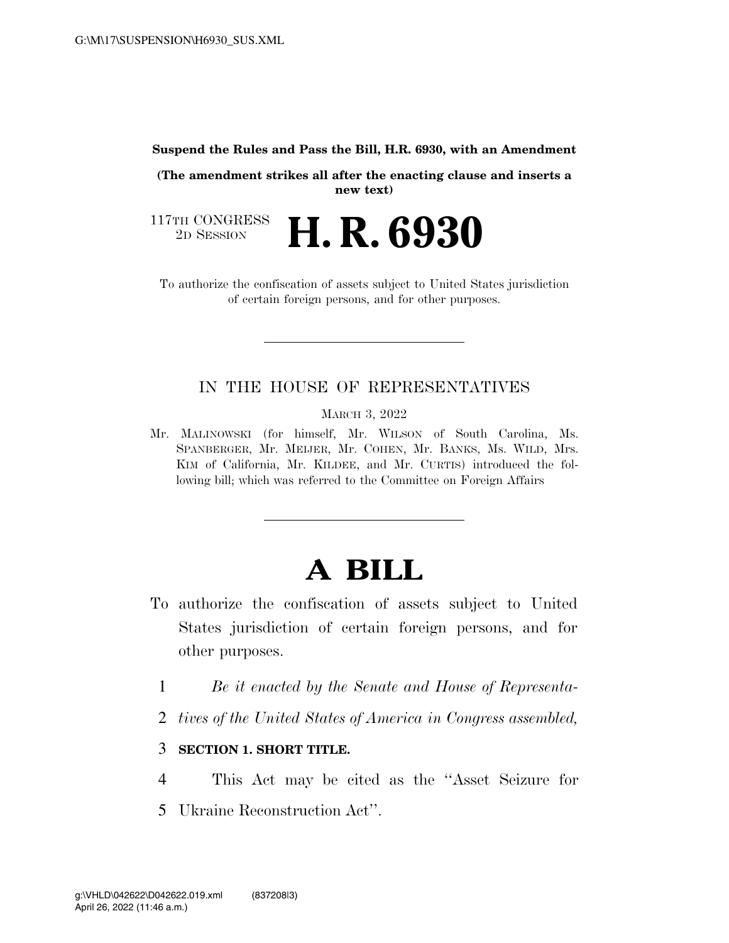**Suspend the Rules and Pass the Bill, H.R. 6930, with an Amendment** 

**(The amendment strikes all after the enacting clause and inserts a new text)** 

117TH CONGRESS<br>2D SESSION 2D SESSION **H. R. 6930** 

To authorize the confiscation of assets subject to United States jurisdiction of certain foreign persons, and for other purposes.

### IN THE HOUSE OF REPRESENTATIVES

MARCH 3, 2022

Mr. MALINOWSKI (for himself, Mr. WILSON of South Carolina, Ms. SPANBERGER, Mr. MEIJER, Mr. COHEN, Mr. BANKS, Ms. WILD, Mrs. KIM of California, Mr. KILDEE, and Mr. CURTIS) introduced the following bill; which was referred to the Committee on Foreign Affairs

# **A BILL**

- To authorize the confiscation of assets subject to United States jurisdiction of certain foreign persons, and for other purposes.
	- 1 *Be it enacted by the Senate and House of Representa-*
	- 2 *tives of the United States of America in Congress assembled,*

#### 3 **SECTION 1. SHORT TITLE.**

- 4 This Act may be cited as the ''Asset Seizure for
- 5 Ukraine Reconstruction Act''.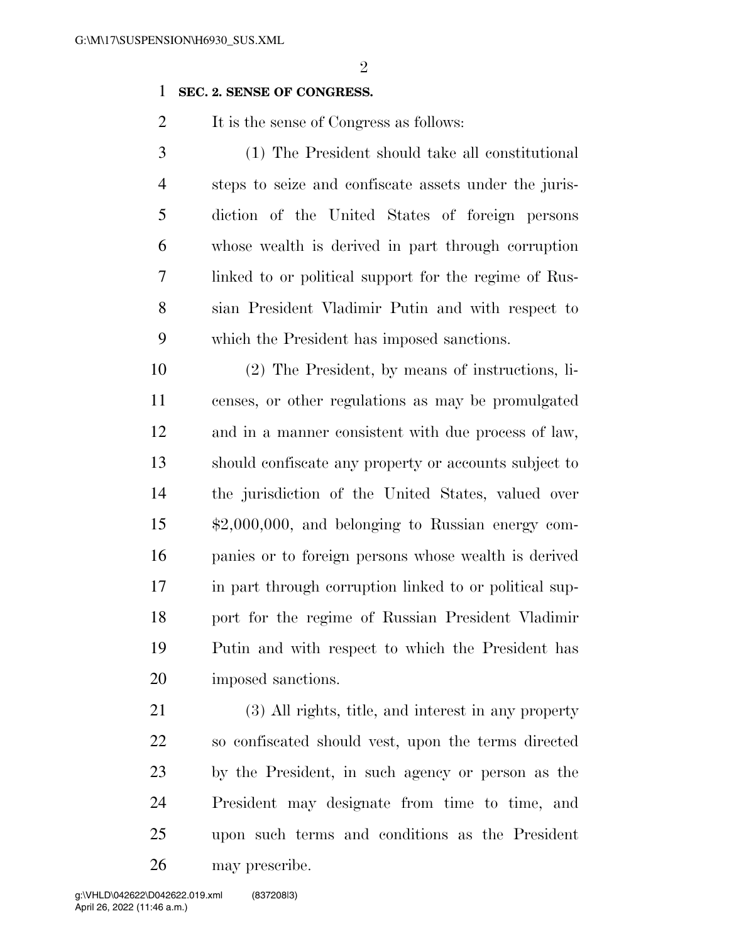#### **SEC. 2. SENSE OF CONGRESS.**

2 It is the sense of Congress as follows:

 (1) The President should take all constitutional steps to seize and confiscate assets under the juris- diction of the United States of foreign persons whose wealth is derived in part through corruption linked to or political support for the regime of Rus- sian President Vladimir Putin and with respect to which the President has imposed sanctions.

 (2) The President, by means of instructions, li- censes, or other regulations as may be promulgated and in a manner consistent with due process of law, should confiscate any property or accounts subject to the jurisdiction of the United States, valued over \$2,000,000, and belonging to Russian energy com- panies or to foreign persons whose wealth is derived in part through corruption linked to or political sup- port for the regime of Russian President Vladimir Putin and with respect to which the President has imposed sanctions.

 (3) All rights, title, and interest in any property so confiscated should vest, upon the terms directed by the President, in such agency or person as the President may designate from time to time, and upon such terms and conditions as the President may prescribe.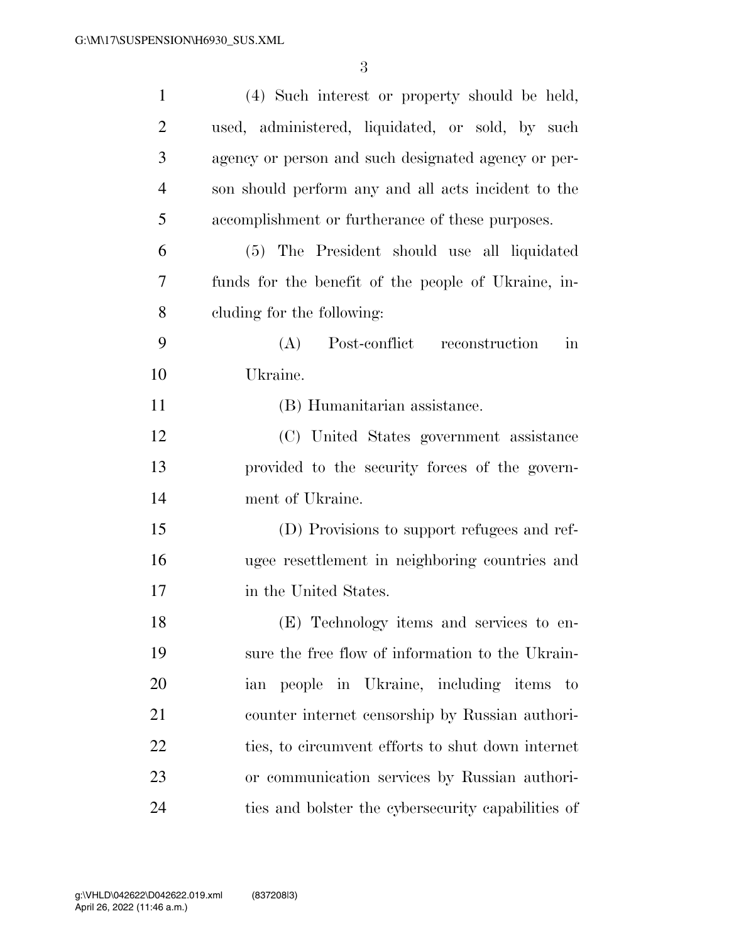| $\mathbf{1}$   | (4) Such interest or property should be held,              |
|----------------|------------------------------------------------------------|
| $\overline{2}$ | used, administered, liquidated, or sold, by such           |
| 3              | agency or person and such designated agency or per-        |
| $\overline{4}$ | son should perform any and all acts incident to the        |
| 5              | accomplishment or furtherance of these purposes.           |
| 6              | (5) The President should use all liquidated                |
| 7              | funds for the benefit of the people of Ukraine, in-        |
| 8              | cluding for the following:                                 |
| 9              | Post-conflict reconstruction<br>(A)<br>$\operatorname{in}$ |
| 10             | Ukraine.                                                   |
| 11             | (B) Humanitarian assistance.                               |
| 12             | (C) United States government assistance                    |
| 13             | provided to the security forces of the govern-             |
| 14             | ment of Ukraine.                                           |
| 15             | (D) Provisions to support refugees and ref-                |
| 16             | ugee resettlement in neighboring countries and             |
| 17             | in the United States.                                      |
| 18             | (E) Technology items and services to en-                   |
| 19             | sure the free flow of information to the Ukrain-           |
| 20             | people in Ukraine, including items<br>ian<br>to            |
| 21             | counter internet censorship by Russian authori-            |
| 22             | ties, to circumvent efforts to shut down internet          |
| 23             | or communication services by Russian authori-              |
| 24             | ties and bolster the cybers ecurity capabilities of        |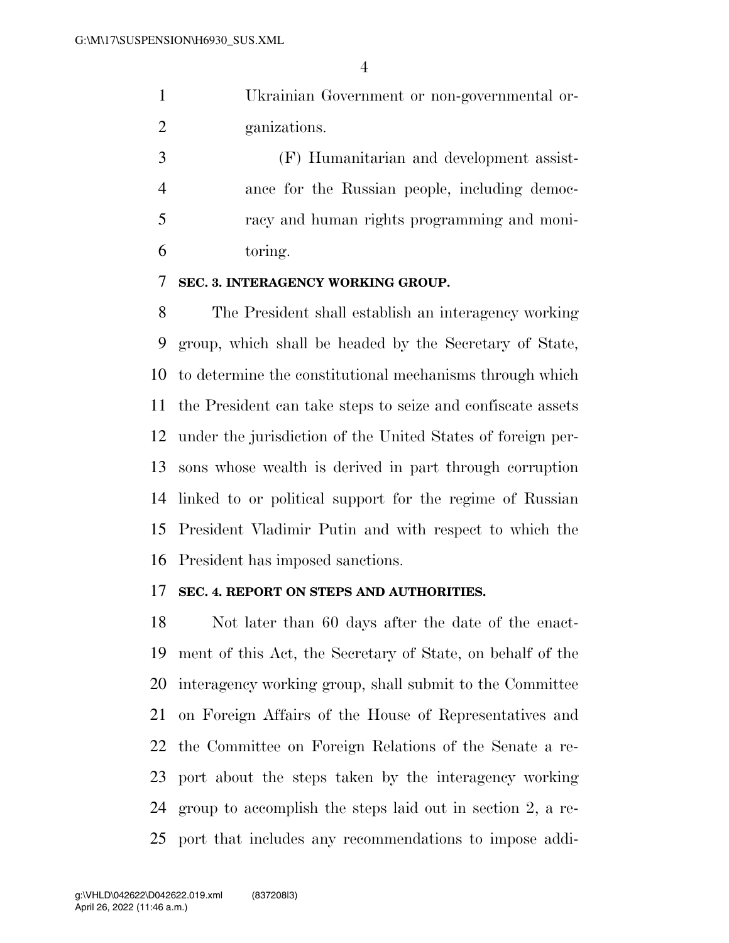|                | Ukrainian Government or non-governmental or- |
|----------------|----------------------------------------------|
| $\overline{2}$ | ganizations.                                 |

 (F) Humanitarian and development assist- ance for the Russian people, including democ- racy and human rights programming and moni-toring.

#### **SEC. 3. INTERAGENCY WORKING GROUP.**

 The President shall establish an interagency working group, which shall be headed by the Secretary of State, to determine the constitutional mechanisms through which the President can take steps to seize and confiscate assets under the jurisdiction of the United States of foreign per- sons whose wealth is derived in part through corruption linked to or political support for the regime of Russian President Vladimir Putin and with respect to which the President has imposed sanctions.

#### **SEC. 4. REPORT ON STEPS AND AUTHORITIES.**

 Not later than 60 days after the date of the enact- ment of this Act, the Secretary of State, on behalf of the interagency working group, shall submit to the Committee on Foreign Affairs of the House of Representatives and the Committee on Foreign Relations of the Senate a re- port about the steps taken by the interagency working group to accomplish the steps laid out in section 2, a re-port that includes any recommendations to impose addi-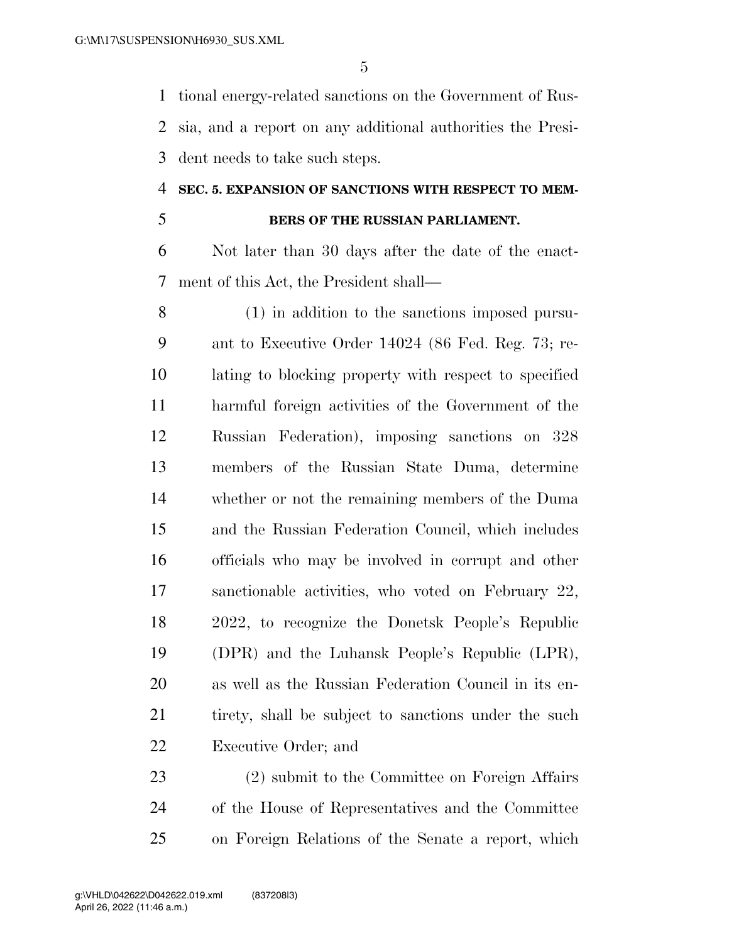tional energy-related sanctions on the Government of Rus- sia, and a report on any additional authorities the Presi-dent needs to take such steps.

#### **SEC. 5. EXPANSION OF SANCTIONS WITH RESPECT TO MEM-**

## **BERS OF THE RUSSIAN PARLIAMENT.**

 Not later than 30 days after the date of the enact-ment of this Act, the President shall—

 (1) in addition to the sanctions imposed pursu- ant to Executive Order 14024 (86 Fed. Reg. 73; re- lating to blocking property with respect to specified harmful foreign activities of the Government of the Russian Federation), imposing sanctions on 328 members of the Russian State Duma, determine whether or not the remaining members of the Duma and the Russian Federation Council, which includes officials who may be involved in corrupt and other sanctionable activities, who voted on February 22, 2022, to recognize the Donetsk People's Republic (DPR) and the Luhansk People's Republic (LPR), as well as the Russian Federation Council in its en-21 tirety, shall be subject to sanctions under the such Executive Order; and

 (2) submit to the Committee on Foreign Affairs of the House of Representatives and the Committee on Foreign Relations of the Senate a report, which